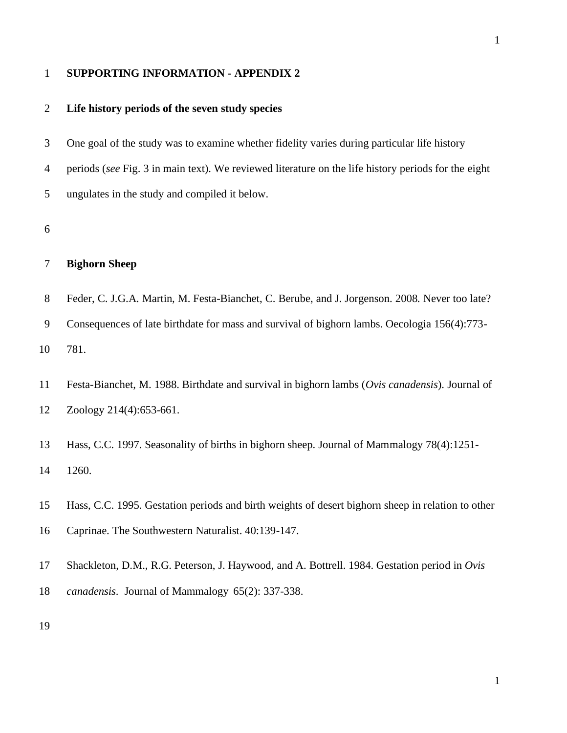#### **SUPPORTING INFORMATION - APPENDIX 2**

### **Life history periods of the seven study species**

 One goal of the study was to examine whether fidelity varies during particular life history periods (*see* Fig. 3 in main text). We reviewed literature on the life history periods for the eight ungulates in the study and compiled it below.

### **Bighorn Sheep**

 Feder, C. J.G.A. Martin, M. Festa-Bianchet, C. Berube, and J. Jorgenson. 2008. Never too late? Consequences of late birthdate for mass and survival of bighorn lambs. Oecologia 156(4):773- 781.

 Festa-Bianchet, M. 1988. Birthdate and survival in bighorn lambs (*Ovis canadensis*). Journal of Zoology 214(4):653-661.

 Hass, C.C. 1997. Seasonality of births in bighorn sheep. Journal of Mammalogy 78(4):1251- 1260.

 Hass, C.C. 1995. Gestation periods and birth weights of desert bighorn sheep in relation to other Caprinae. The Southwestern Naturalist. 40:139-147.

Shackleton, D.M., R.G. Peterson, J. Haywood, and A. Bottrell. 1984. Gestation period in *Ovis* 

*canadensis*. Journal of Mammalogy 65(2): 337-338.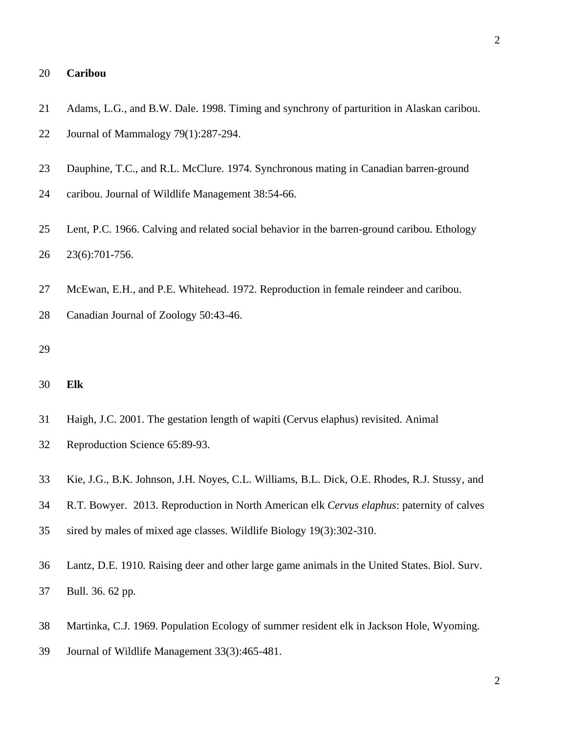### **Caribou**

- Adams, L.G., and B.W. Dale. 1998. Timing and synchrony of parturition in Alaskan caribou. Journal of Mammalogy 79(1):287-294.
- Dauphine, T.C., and R.L. McClure. 1974. Synchronous mating in Canadian barren-ground
- caribou. Journal of Wildlife Management 38:54-66.
- Lent, P.C. 1966. Calving and related social behavior in the barren-ground caribou. Ethology 23(6):701-756.
- McEwan, E.H., and P.E. Whitehead. 1972. Reproduction in female reindeer and caribou.
- Canadian Journal of Zoology 50:43-46.
- 
- **Elk**
- Haigh, J.C. 2001. The gestation length of wapiti (Cervus elaphus) revisited. Animal
- Reproduction Science 65:89-93.
- Kie, J.G., B.K. Johnson, J.H. Noyes, C.L. Williams, B.L. Dick, O.E. Rhodes, R.J. Stussy, and
- R.T. Bowyer. 2013. Reproduction in North American elk *Cervus elaphus*: paternity of calves
- sired by males of mixed age classes. Wildlife Biology 19(3):302-310.
- Lantz, D.E. 1910. Raising deer and other large game animals in the United States. Biol. Surv. Bull. 36. 62 pp.
- Martinka, C.J. 1969. Population Ecology of summer resident elk in Jackson Hole, Wyoming.
- Journal of Wildlife Management 33(3):465-481.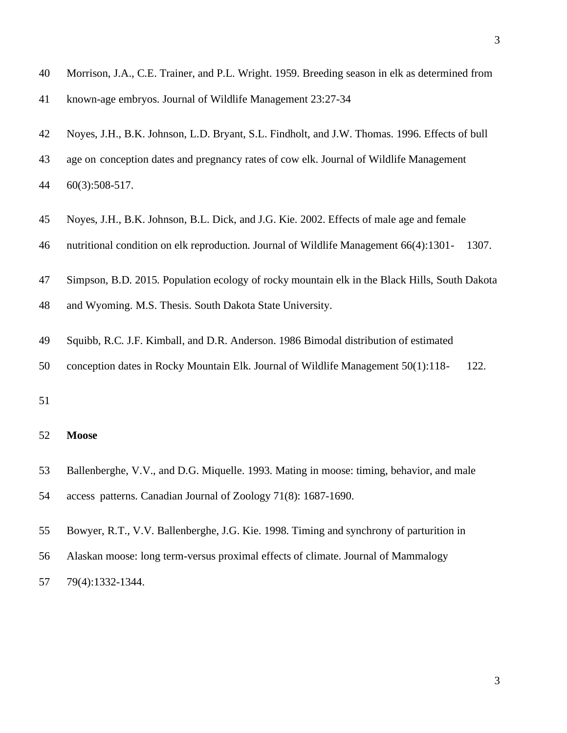known-age embryos. Journal of Wildlife Management 23:27-34

- Noyes, J.H., B.K. Johnson, L.D. Bryant, S.L. Findholt, and J.W. Thomas. 1996. Effects of bull
- age on conception dates and pregnancy rates of cow elk. Journal of Wildlife Management 60(3):508-517.
- Noyes, J.H., B.K. Johnson, B.L. Dick, and J.G. Kie. 2002. Effects of male age and female
- nutritional condition on elk reproduction. Journal of Wildlife Management 66(4):1301- 1307.
- Simpson, B.D. 2015. Population ecology of rocky mountain elk in the Black Hills, South Dakota
- and Wyoming. M.S. Thesis. South Dakota State University.
- Squibb, R.C. J.F. Kimball, and D.R. Anderson. 1986 Bimodal distribution of estimated
- conception dates in Rocky Mountain Elk. Journal of Wildlife Management 50(1):118- 122.
- 

#### **Moose**

- Ballenberghe, V.V., and D.G. Miquelle. 1993. Mating in moose: timing, behavior, and male
- access patterns. Canadian Journal of Zoology 71(8): 1687-1690.
- Bowyer, R.T., V.V. Ballenberghe, J.G. Kie. 1998. Timing and synchrony of parturition in
- Alaskan moose: long term-versus proximal effects of climate. Journal of Mammalogy
- 79(4):1332-1344.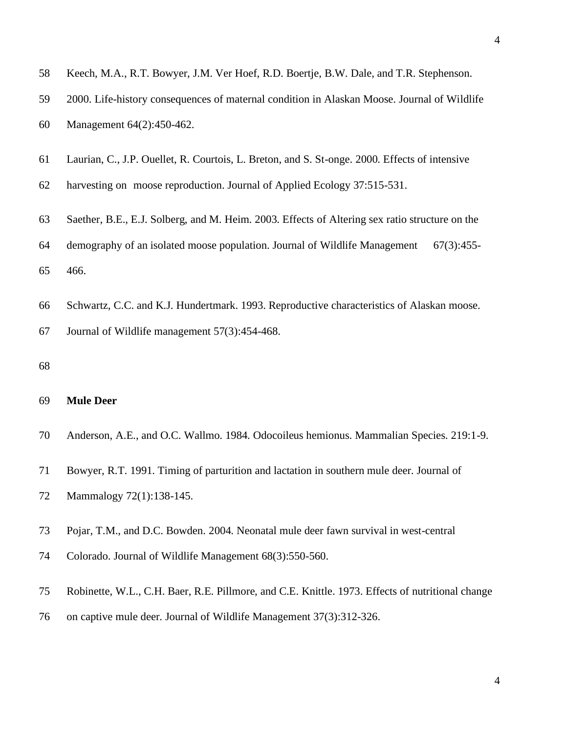- Keech, M.A., R.T. Bowyer, J.M. Ver Hoef, R.D. Boertje, B.W. Dale, and T.R. Stephenson.
- 2000. Life-history consequences of maternal condition in Alaskan Moose. Journal of Wildlife
- Management 64(2):450-462.
- Laurian, C., J.P. Ouellet, R. Courtois, L. Breton, and S. St-onge. 2000. Effects of intensive
- harvesting on moose reproduction. Journal of Applied Ecology 37:515-531.
- Saether, B.E., E.J. Solberg, and M. Heim. 2003. Effects of Altering sex ratio structure on the
- demography of an isolated moose population. Journal of Wildlife Management 67(3):455- 466.
- Schwartz, C.C. and K.J. Hundertmark. 1993. Reproductive characteristics of Alaskan moose.
- Journal of Wildlife management 57(3):454-468.
- 

#### **Mule Deer**

- Anderson, A.E., and O.C. Wallmo. 1984. Odocoileus hemionus. Mammalian Species. 219:1-9.
- Bowyer, R.T. 1991. Timing of parturition and lactation in southern mule deer. Journal of
- Mammalogy 72(1):138-145.
- Pojar, T.M., and D.C. Bowden. 2004. Neonatal mule deer fawn survival in west-central
- Colorado. Journal of Wildlife Management 68(3):550-560.
- Robinette, W.L., C.H. Baer, R.E. Pillmore, and C.E. Knittle. 1973. Effects of nutritional change
- on captive mule deer. Journal of Wildlife Management 37(3):312-326.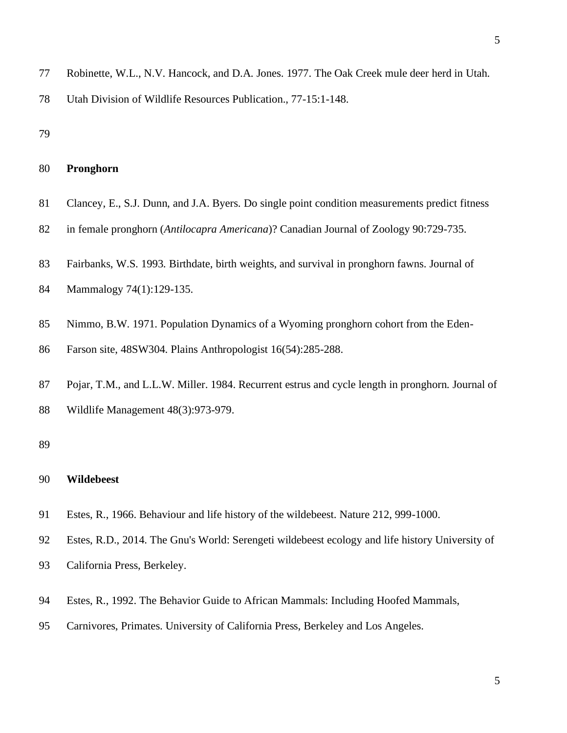Utah Division of Wildlife Resources Publication., 77-15:1-148.

## **Pronghorn**

- Clancey, E., S.J. Dunn, and J.A. Byers. Do single point condition measurements predict fitness
- in female pronghorn (*Antilocapra Americana*)? Canadian Journal of Zoology 90:729-735.
- Fairbanks, W.S. 1993. Birthdate, birth weights, and survival in pronghorn fawns. Journal of
- Mammalogy 74(1):129-135.
- Nimmo, B.W. 1971. Population Dynamics of a Wyoming pronghorn cohort from the Eden-
- Farson site, 48SW304. Plains Anthropologist 16(54):285-288.
- Pojar, T.M., and L.L.W. Miller. 1984. Recurrent estrus and cycle length in pronghorn. Journal of Wildlife Management 48(3):973-979.

#### 

## **Wildebeest**

- Estes, R., 1966. Behaviour and life history of the wildebeest. Nature 212, 999-1000.
- Estes, R.D., 2014. The Gnu's World: Serengeti wildebeest ecology and life history University of
- California Press, Berkeley.
- Estes, R., 1992. The Behavior Guide to African Mammals: Including Hoofed Mammals,
- Carnivores, Primates. University of California Press, Berkeley and Los Angeles.